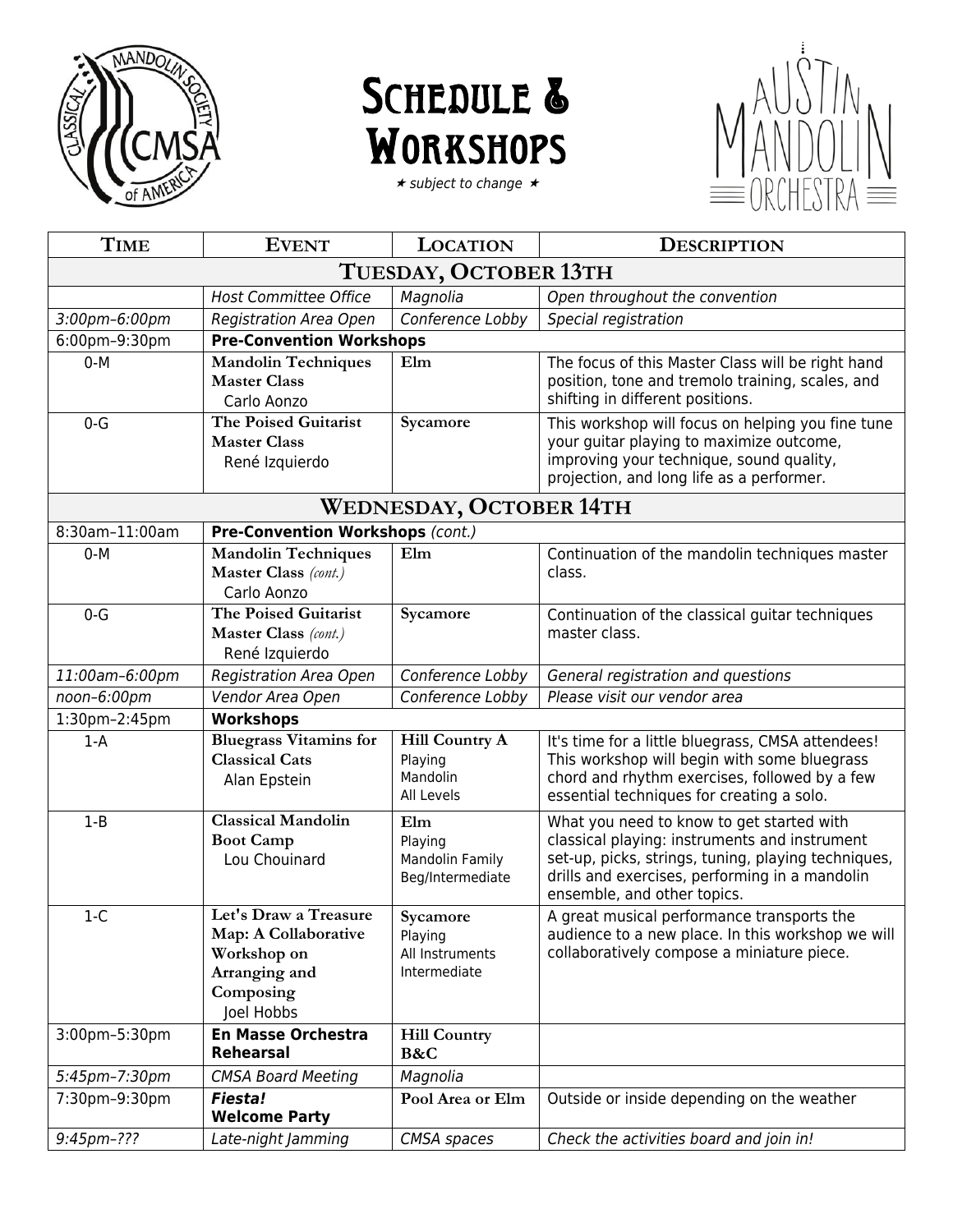

## SCHEDULE & **WORKSHOPS**

 $\star$  subject to change  $\star$ 



| <b>TIME</b>           | <b>EVENT</b>                                                                                             | <b>LOCATION</b>                                              | <b>DESCRIPTION</b>                                                                                                                                                                                                                 |
|-----------------------|----------------------------------------------------------------------------------------------------------|--------------------------------------------------------------|------------------------------------------------------------------------------------------------------------------------------------------------------------------------------------------------------------------------------------|
| TUESDAY, OCTOBER 13TH |                                                                                                          |                                                              |                                                                                                                                                                                                                                    |
|                       | <b>Host Committee Office</b>                                                                             | Magnolia                                                     | Open throughout the convention                                                                                                                                                                                                     |
| 3:00pm-6:00pm         | <b>Registration Area Open</b>                                                                            | Conference Lobby                                             | Special registration                                                                                                                                                                                                               |
| 6:00pm-9:30pm         | <b>Pre-Convention Workshops</b>                                                                          |                                                              |                                                                                                                                                                                                                                    |
| $0-M$                 | <b>Mandolin Techniques</b><br><b>Master Class</b><br>Carlo Aonzo                                         | Elm                                                          | The focus of this Master Class will be right hand<br>position, tone and tremolo training, scales, and<br>shifting in different positions.                                                                                          |
| $0-G$                 | The Poised Guitarist<br><b>Master Class</b><br>René Izquierdo                                            | Sycamore                                                     | This workshop will focus on helping you fine tune<br>your guitar playing to maximize outcome,<br>improving your technique, sound quality,<br>projection, and long life as a performer.                                             |
|                       |                                                                                                          | <b>WEDNESDAY, OCTOBER 14TH</b>                               |                                                                                                                                                                                                                                    |
| 8:30am-11:00am        | Pre-Convention Workshops (cont.)                                                                         |                                                              |                                                                                                                                                                                                                                    |
| $0-M$                 | <b>Mandolin Techniques</b><br>Master Class (cont.)<br>Carlo Aonzo                                        | Elm                                                          | Continuation of the mandolin techniques master<br>class.                                                                                                                                                                           |
| $0 - G$               | <b>The Poised Guitarist</b><br>Master Class (cont.)<br>René Izquierdo                                    | Sycamore                                                     | Continuation of the classical guitar techniques<br>master class.                                                                                                                                                                   |
| 11:00am-6:00pm        | <b>Registration Area Open</b>                                                                            | Conference Lobby                                             | General registration and questions                                                                                                                                                                                                 |
| noon-6:00pm           | Vendor Area Open                                                                                         | Conference Lobby                                             | Please visit our vendor area                                                                                                                                                                                                       |
| 1:30pm-2:45pm         | <b>Workshops</b>                                                                                         |                                                              |                                                                                                                                                                                                                                    |
| $1-A$                 | <b>Bluegrass Vitamins for</b><br><b>Classical Cats</b><br>Alan Epstein                                   | <b>Hill Country A</b><br>Playing<br>Mandolin<br>All Levels   | It's time for a little bluegrass, CMSA attendees!<br>This workshop will begin with some bluegrass<br>chord and rhythm exercises, followed by a few<br>essential techniques for creating a solo.                                    |
| $1 - B$               | <b>Classical Mandolin</b><br><b>Boot Camp</b><br>Lou Chouinard                                           | Elm<br>Playing<br><b>Mandolin Family</b><br>Beg/Intermediate | What you need to know to get started with<br>classical playing: instruments and instrument<br>set-up, picks, strings, tuning, playing techniques,<br>drills and exercises, performing in a mandolin<br>ensemble, and other topics. |
| $1-C$                 | Let's Draw a Treasure<br>Map: A Collaborative<br>Workshop on<br>Arranging and<br>Composing<br>Joel Hobbs | Sycamore<br>Playing<br>All Instruments<br>Intermediate       | A great musical performance transports the<br>audience to a new place. In this workshop we will<br>collaboratively compose a miniature piece.                                                                                      |
| 3:00pm-5:30pm         | <b>En Masse Orchestra</b><br><b>Rehearsal</b>                                                            | <b>Hill Country</b><br>B&C                                   |                                                                                                                                                                                                                                    |
| 5:45pm-7:30pm         | <b>CMSA Board Meeting</b>                                                                                | Magnolia                                                     |                                                                                                                                                                                                                                    |
| 7:30pm-9:30pm         | <b>Fiesta!</b><br><b>Welcome Party</b>                                                                   | Pool Area or Elm                                             | Outside or inside depending on the weather                                                                                                                                                                                         |
| 9:45pm-???            | Late-night Jamming                                                                                       | CMSA spaces                                                  | Check the activities board and join in!                                                                                                                                                                                            |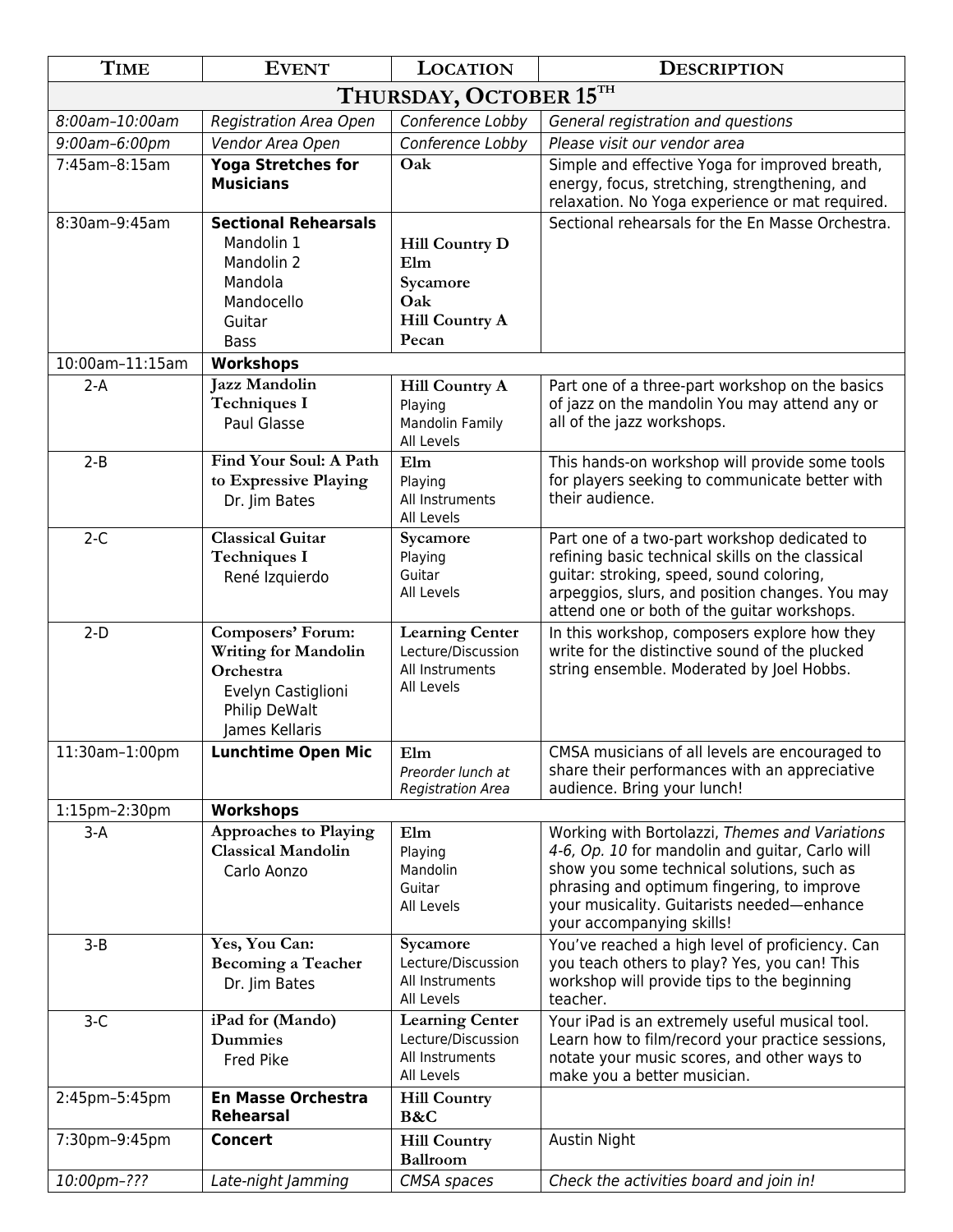| <b>TIME</b>            | <b>EVENT</b>                                                                                                           | <b>LOCATION</b>                                                                   | <b>DESCRIPTION</b>                                                                                                                                                                                                                                                       |
|------------------------|------------------------------------------------------------------------------------------------------------------------|-----------------------------------------------------------------------------------|--------------------------------------------------------------------------------------------------------------------------------------------------------------------------------------------------------------------------------------------------------------------------|
| THURSDAY, OCTOBER 15TH |                                                                                                                        |                                                                                   |                                                                                                                                                                                                                                                                          |
| 8:00am-10:00am         | <b>Registration Area Open</b>                                                                                          | Conference Lobby                                                                  | General registration and questions                                                                                                                                                                                                                                       |
| 9:00am-6:00pm          | Vendor Area Open                                                                                                       | Conference Lobby                                                                  | Please visit our vendor area                                                                                                                                                                                                                                             |
| 7:45am-8:15am          | <b>Yoga Stretches for</b><br><b>Musicians</b>                                                                          | Oak                                                                               | Simple and effective Yoga for improved breath,<br>energy, focus, stretching, strengthening, and<br>relaxation. No Yoga experience or mat required.                                                                                                                       |
| 8:30am-9:45am          | <b>Sectional Rehearsals</b><br>Mandolin 1<br>Mandolin 2<br>Mandola<br>Mandocello<br>Guitar<br><b>Bass</b>              | <b>Hill Country D</b><br>Elm<br>Sycamore<br>Oak<br><b>Hill Country A</b><br>Pecan | Sectional rehearsals for the En Masse Orchestra.                                                                                                                                                                                                                         |
| 10:00am-11:15am        | <b>Workshops</b>                                                                                                       |                                                                                   |                                                                                                                                                                                                                                                                          |
| $2-A$                  | <b>Jazz Mandolin</b><br><b>Techniques I</b><br>Paul Glasse                                                             | <b>Hill Country A</b><br>Playing<br><b>Mandolin Family</b><br>All Levels          | Part one of a three-part workshop on the basics<br>of jazz on the mandolin You may attend any or<br>all of the jazz workshops.                                                                                                                                           |
| $2-B$                  | Find Your Soul: A Path<br>to Expressive Playing<br>Dr. Jim Bates                                                       | Elm<br>Playing<br>All Instruments<br>All Levels                                   | This hands-on workshop will provide some tools<br>for players seeking to communicate better with<br>their audience.                                                                                                                                                      |
| $2-C$                  | <b>Classical Guitar</b><br><b>Techniques I</b><br>René Izquierdo                                                       | Sycamore<br>Playing<br>Guitar<br>All Levels                                       | Part one of a two-part workshop dedicated to<br>refining basic technical skills on the classical<br>guitar: stroking, speed, sound coloring,<br>arpeggios, slurs, and position changes. You may<br>attend one or both of the guitar workshops.                           |
| $2-D$                  | Composers' Forum:<br><b>Writing for Mandolin</b><br>Orchestra<br>Evelyn Castiglioni<br>Philip DeWalt<br>James Kellaris | <b>Learning Center</b><br>Lecture/Discussion<br>All Instruments<br>All Levels     | In this workshop, composers explore how they<br>write for the distinctive sound of the plucked<br>string ensemble. Moderated by Joel Hobbs.                                                                                                                              |
| 11:30am-1:00pm         | <b>Lunchtime Open Mic</b>                                                                                              | Elm<br>Preorder lunch at<br><b>Registration Area</b>                              | CMSA musicians of all levels are encouraged to<br>share their performances with an appreciative<br>audience. Bring your lunch!                                                                                                                                           |
| 1:15pm-2:30pm          | <b>Workshops</b>                                                                                                       |                                                                                   |                                                                                                                                                                                                                                                                          |
| $3-A$                  | <b>Approaches to Playing</b><br><b>Classical Mandolin</b><br>Carlo Aonzo                                               | Elm<br>Playing<br>Mandolin<br>Guitar<br>All Levels                                | Working with Bortolazzi, Themes and Variations<br>4-6, Op. 10 for mandolin and guitar, Carlo will<br>show you some technical solutions, such as<br>phrasing and optimum fingering, to improve<br>your musicality. Guitarists needed-enhance<br>your accompanying skills! |
| $3 - B$                | Yes, You Can:<br>Becoming a Teacher<br>Dr. Jim Bates                                                                   | Sycamore<br>Lecture/Discussion<br>All Instruments<br>All Levels                   | You've reached a high level of proficiency. Can<br>you teach others to play? Yes, you can! This<br>workshop will provide tips to the beginning<br>teacher.                                                                                                               |
| $3-C$                  | iPad for (Mando)<br><b>Dummies</b><br><b>Fred Pike</b>                                                                 | <b>Learning Center</b><br>Lecture/Discussion<br>All Instruments<br>All Levels     | Your iPad is an extremely useful musical tool.<br>Learn how to film/record your practice sessions,<br>notate your music scores, and other ways to<br>make you a better musician.                                                                                         |
| 2:45pm-5:45pm          | <b>En Masse Orchestra</b><br><b>Rehearsal</b>                                                                          | <b>Hill Country</b><br>B&C                                                        |                                                                                                                                                                                                                                                                          |
| 7:30pm-9:45pm          | <b>Concert</b>                                                                                                         | <b>Hill Country</b><br><b>Ballroom</b>                                            | Austin Night                                                                                                                                                                                                                                                             |
| 10:00pm-???            | Late-night Jamming                                                                                                     | CMSA spaces                                                                       | Check the activities board and join in!                                                                                                                                                                                                                                  |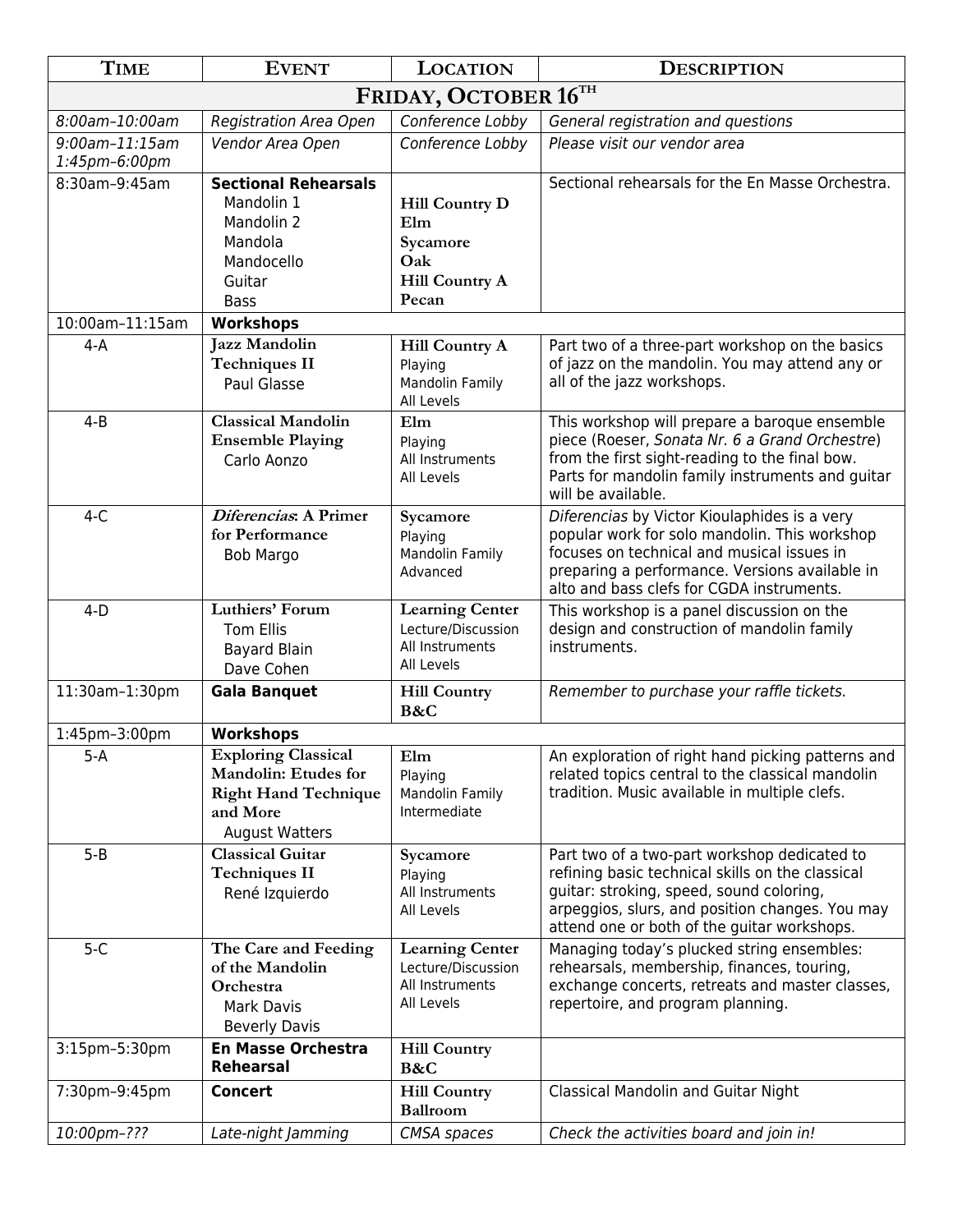| <b>TIME</b>                     | <b>EVENT</b>                                                                                                                  | <b>LOCATION</b>                                                                   | <b>DESCRIPTION</b>                                                                                                                                                                                                                             |
|---------------------------------|-------------------------------------------------------------------------------------------------------------------------------|-----------------------------------------------------------------------------------|------------------------------------------------------------------------------------------------------------------------------------------------------------------------------------------------------------------------------------------------|
| FRIDAY, OCTOBER 16TH            |                                                                                                                               |                                                                                   |                                                                                                                                                                                                                                                |
| 8:00am-10:00am                  | <b>Registration Area Open</b>                                                                                                 | Conference Lobby                                                                  | General registration and questions                                                                                                                                                                                                             |
| 9:00am-11:15am<br>1:45pm-6:00pm | Vendor Area Open                                                                                                              | Conference Lobby                                                                  | Please visit our vendor area                                                                                                                                                                                                                   |
| 8:30am-9:45am                   | <b>Sectional Rehearsals</b>                                                                                                   |                                                                                   | Sectional rehearsals for the En Masse Orchestra.                                                                                                                                                                                               |
|                                 | Mandolin 1<br>Mandolin 2<br>Mandola<br>Mandocello<br>Guitar<br><b>Bass</b>                                                    | <b>Hill Country D</b><br>Elm<br>Sycamore<br>Oak<br><b>Hill Country A</b><br>Pecan |                                                                                                                                                                                                                                                |
| 10:00am-11:15am                 | Workshops                                                                                                                     |                                                                                   |                                                                                                                                                                                                                                                |
| $4-A$                           | <b>Jazz Mandolin</b><br><b>Techniques II</b><br>Paul Glasse                                                                   | <b>Hill Country A</b><br>Playing<br><b>Mandolin Family</b><br>All Levels          | Part two of a three-part workshop on the basics<br>of jazz on the mandolin. You may attend any or<br>all of the jazz workshops.                                                                                                                |
| $4 - B$                         | <b>Classical Mandolin</b><br><b>Ensemble Playing</b><br>Carlo Aonzo                                                           | Elm<br>Playing<br>All Instruments<br>All Levels                                   | This workshop will prepare a baroque ensemble<br>piece (Roeser, Sonata Nr. 6 a Grand Orchestre)<br>from the first sight-reading to the final bow.<br>Parts for mandolin family instruments and guitar<br>will be available.                    |
| $4-C$                           | Diferencias: A Primer<br>for Performance<br><b>Bob Margo</b>                                                                  | Sycamore<br>Playing<br><b>Mandolin Family</b><br>Advanced                         | Diferencias by Victor Kioulaphides is a very<br>popular work for solo mandolin. This workshop<br>focuses on technical and musical issues in<br>preparing a performance. Versions available in<br>alto and bass clefs for CGDA instruments.     |
| $4-D$                           | Luthiers' Forum<br><b>Tom Ellis</b><br><b>Bayard Blain</b><br>Dave Cohen                                                      | <b>Learning Center</b><br>Lecture/Discussion<br>All Instruments<br>All Levels     | This workshop is a panel discussion on the<br>design and construction of mandolin family<br>instruments.                                                                                                                                       |
| 11:30am-1:30pm                  | <b>Gala Banquet</b>                                                                                                           | <b>Hill Country</b><br>B&C                                                        | Remember to purchase your raffle tickets.                                                                                                                                                                                                      |
| 1:45pm-3:00pm                   | <b>Workshops</b>                                                                                                              |                                                                                   |                                                                                                                                                                                                                                                |
| $5-A$                           | <b>Exploring Classical</b><br><b>Mandolin: Etudes for</b><br><b>Right Hand Technique</b><br>and More<br><b>August Watters</b> | Elm<br>Playing<br>Mandolin Family<br>Intermediate                                 | An exploration of right hand picking patterns and<br>related topics central to the classical mandolin<br>tradition. Music available in multiple clefs.                                                                                         |
| $5 - B$                         | <b>Classical Guitar</b><br><b>Techniques II</b><br>René Izquierdo                                                             | Sycamore<br>Playing<br>All Instruments<br>All Levels                              | Part two of a two-part workshop dedicated to<br>refining basic technical skills on the classical<br>guitar: stroking, speed, sound coloring,<br>arpeggios, slurs, and position changes. You may<br>attend one or both of the guitar workshops. |
| $5-C$                           | The Care and Feeding<br>of the Mandolin<br>Orchestra<br><b>Mark Davis</b><br><b>Beverly Davis</b>                             | <b>Learning Center</b><br>Lecture/Discussion<br>All Instruments<br>All Levels     | Managing today's plucked string ensembles:<br>rehearsals, membership, finances, touring,<br>exchange concerts, retreats and master classes,<br>repertoire, and program planning.                                                               |
| 3:15pm-5:30pm                   | <b>En Masse Orchestra</b><br><b>Rehearsal</b>                                                                                 | <b>Hill Country</b><br>B&C                                                        |                                                                                                                                                                                                                                                |
| 7:30pm-9:45pm                   | <b>Concert</b>                                                                                                                | <b>Hill Country</b><br><b>Ballroom</b>                                            | Classical Mandolin and Guitar Night                                                                                                                                                                                                            |
| 10:00pm-???                     | Late-night Jamming                                                                                                            | CMSA spaces                                                                       | Check the activities board and join in!                                                                                                                                                                                                        |